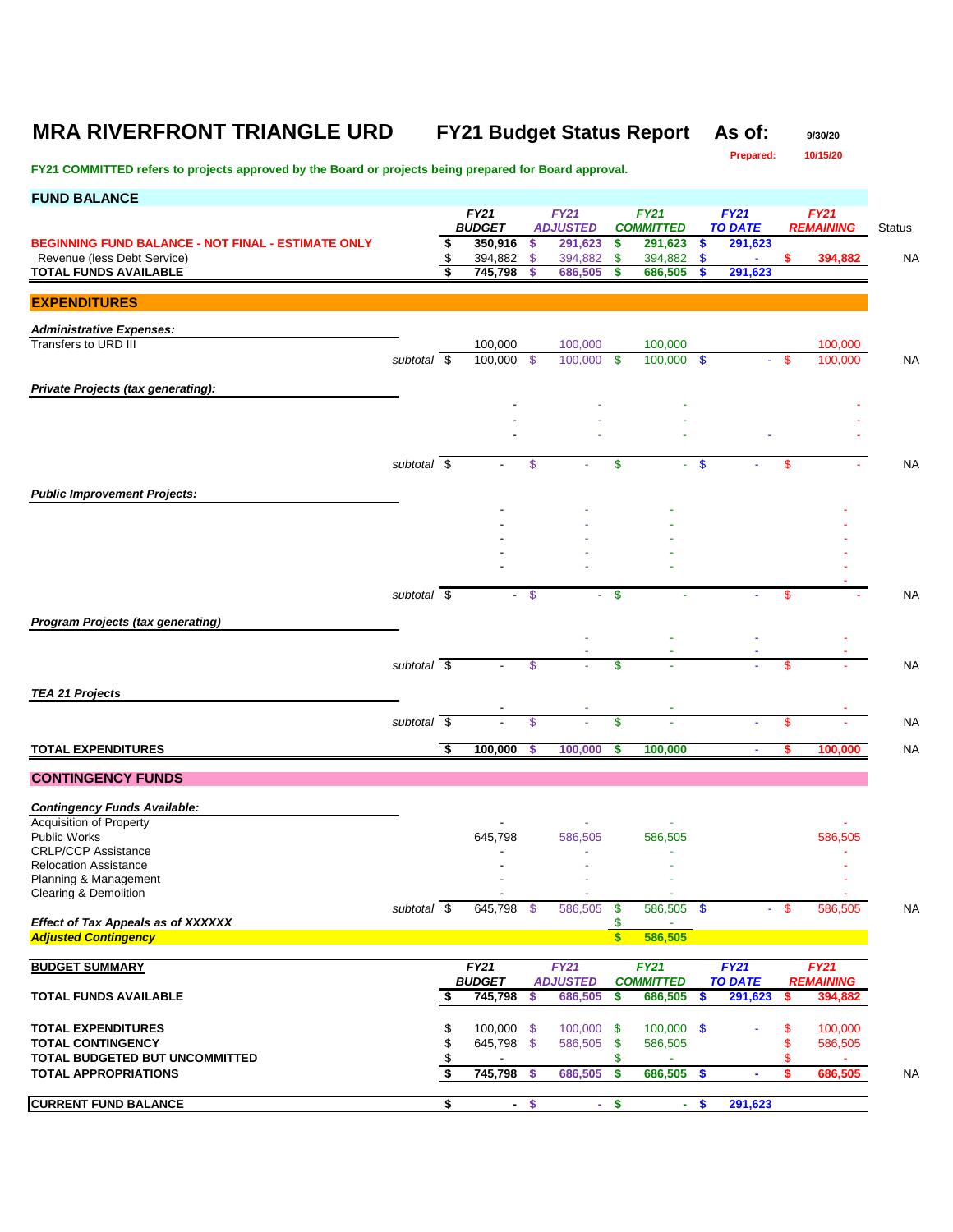# **MRA RIVERFRONT TRIANGLE URD FY21 Budget Status Report As of:** 9/30/20

**Prepared: 10/15/20**

| <b>FUND BALANCE</b>                                            |                     |          |                          |               |                            |                      |                             |                                 |          |                    |               |
|----------------------------------------------------------------|---------------------|----------|--------------------------|---------------|----------------------------|----------------------|-----------------------------|---------------------------------|----------|--------------------|---------------|
|                                                                |                     |          | <b>FY21</b>              |               | <b>FY21</b>                |                      | <b>FY21</b>                 | <b>FY21</b>                     |          | <b>FY21</b>        |               |
| <b>BEGINNING FUND BALANCE - NOT FINAL - ESTIMATE ONLY</b>      |                     | \$       | <b>BUDGET</b><br>350,916 | \$            | <b>ADJUSTED</b><br>291,623 | \$                   | <b>COMMITTED</b><br>291,623 | \$<br><b>TO DATE</b><br>291,623 |          | <b>REMAINING</b>   | <b>Status</b> |
| Revenue (less Debt Service)                                    |                     | \$       | 394,882                  | \$            | 394,882                    | \$                   | 394,882                     | \$<br>$\blacksquare$            | \$.      | 394,882            | <b>NA</b>     |
| <b>TOTAL FUNDS AVAILABLE</b>                                   |                     |          | 745,798                  | S             | 686,505                    | s                    | 686,505                     | 291,623                         |          |                    |               |
|                                                                |                     |          |                          |               |                            |                      |                             |                                 |          |                    |               |
| <b>EXPENDITURES</b>                                            |                     |          |                          |               |                            |                      |                             |                                 |          |                    |               |
| <b>Administrative Expenses:</b>                                |                     |          |                          |               |                            |                      |                             |                                 |          |                    |               |
| Transfers to URD III                                           |                     |          | 100,000                  |               | 100,000                    |                      | 100,000                     |                                 |          | 100,000            |               |
|                                                                | subtotal $\sqrt{s}$ |          | 100,000                  | - \$          | 100,000                    | \$                   | 100,000 \$                  | ÷                               | -S       | 100,000            | <b>NA</b>     |
| Private Projects (tax generating):                             |                     |          |                          |               |                            |                      |                             |                                 |          |                    |               |
|                                                                |                     |          |                          |               |                            |                      |                             |                                 |          |                    |               |
|                                                                |                     |          |                          |               |                            |                      |                             |                                 |          |                    |               |
|                                                                |                     |          |                          |               |                            |                      |                             |                                 |          |                    |               |
|                                                                | subtotal \$         |          |                          | \$            |                            | \$                   |                             | \$                              | S.       |                    | <b>NA</b>     |
|                                                                |                     |          |                          |               |                            |                      |                             |                                 |          |                    |               |
| <b>Public Improvement Projects:</b>                            |                     |          |                          |               |                            |                      |                             |                                 |          |                    |               |
|                                                                |                     |          |                          |               |                            |                      |                             |                                 |          |                    |               |
|                                                                |                     |          |                          |               |                            |                      |                             |                                 |          |                    |               |
|                                                                |                     |          |                          |               |                            |                      |                             |                                 |          |                    |               |
|                                                                |                     |          |                          |               |                            |                      |                             |                                 |          |                    |               |
|                                                                | subtotal \$         |          |                          | $\mathcal{S}$ |                            | \$                   |                             |                                 | S        |                    | <b>NA</b>     |
|                                                                |                     |          |                          |               |                            |                      |                             |                                 |          |                    |               |
| <b>Program Projects (tax generating)</b>                       |                     |          |                          |               |                            |                      |                             |                                 |          |                    |               |
|                                                                |                     |          |                          |               |                            |                      |                             |                                 |          |                    |               |
|                                                                | subtotal $\sqrt{s}$ |          |                          | $\mathbb{S}$  |                            | \$                   |                             |                                 | \$       |                    | <b>NA</b>     |
|                                                                |                     |          |                          |               |                            |                      |                             |                                 |          |                    |               |
| <b>TEA 21 Projects</b>                                         |                     |          |                          |               |                            |                      |                             |                                 |          |                    |               |
|                                                                | subtotal \$         |          |                          | $\mathbb{S}$  |                            | \$                   |                             |                                 | \$       |                    | <b>NA</b>     |
|                                                                |                     |          |                          |               |                            |                      |                             |                                 |          |                    |               |
| <b>TOTAL EXPENDITURES</b>                                      |                     | \$       | 100,000                  | \$            | 100,000                    | \$                   | 100,000                     | $\blacksquare$                  | s        | 100,000            | <b>NA</b>     |
| <b>CONTINGENCY FUNDS</b>                                       |                     |          |                          |               |                            |                      |                             |                                 |          |                    |               |
|                                                                |                     |          |                          |               |                            |                      |                             |                                 |          |                    |               |
| <b>Contingency Funds Available:</b><br>Acquisition of Property |                     |          |                          |               |                            |                      |                             |                                 |          |                    |               |
| <b>Public Works</b>                                            |                     |          | 645,798                  |               | 586,505                    |                      | 586,505                     |                                 |          | 586,505            |               |
| <b>CRLP/CCP Assistance</b>                                     |                     |          |                          |               |                            |                      |                             |                                 |          |                    |               |
| <b>Relocation Assistance</b><br>Planning & Management          |                     |          |                          |               |                            |                      |                             |                                 |          |                    |               |
| Clearing & Demolition                                          |                     |          |                          |               |                            |                      |                             |                                 |          |                    |               |
|                                                                | subtotal \$         |          | 645,798 \$               |               | 586,505                    | - \$                 | 586,505 \$                  |                                 | -\$      | 586,505            | <b>NA</b>     |
| <b>Effect of Tax Appeals as of XXXXXX</b>                      |                     |          |                          |               |                            | \$                   |                             |                                 |          |                    |               |
| <b>Adjusted Contingency</b>                                    |                     |          |                          |               |                            | S                    | 586,505                     |                                 |          |                    |               |
| <b>BUDGET SUMMARY</b>                                          |                     |          | FY21                     |               | FY21                       |                      | <b>FY21</b>                 | <b>FY21</b>                     |          | <b>FY21</b>        |               |
|                                                                |                     |          | <b>BUDGET</b>            |               | <b>ADJUSTED</b>            |                      | <b>COMMITTED</b>            | <b>TO DATE</b>                  |          | <b>REMAINING</b>   |               |
| <b>TOTAL FUNDS AVAILABLE</b>                                   |                     | \$       | 745,798                  | \$            | 686,505                    | \$                   | 686,505                     | \$<br>291,623                   | s.       | 394,882            |               |
|                                                                |                     |          |                          |               |                            |                      |                             |                                 |          |                    |               |
| <b>TOTAL EXPENDITURES</b><br><b>TOTAL CONTINGENCY</b>          |                     | \$<br>\$ | 100,000 \$<br>645,798 \$ |               | 100,000<br>586,505         | - \$<br>- \$         | $100,000$ \$<br>586,505     |                                 | \$<br>\$ | 100,000<br>586,505 |               |
| TOTAL BUDGETED BUT UNCOMMITTED                                 |                     | \$       |                          |               |                            | \$                   |                             |                                 | S        |                    |               |
| <b>TOTAL APPROPRIATIONS</b>                                    |                     | \$       | $745,798$ \$             |               | 686,505                    | $\overline{\bullet}$ | 686,505 \$                  | $\blacksquare$                  | \$       | 686,505            | <b>NA</b>     |
|                                                                |                     |          |                          |               |                            |                      |                             |                                 |          |                    |               |
| <b>CURRENT FUND BALANCE</b>                                    |                     | \$       | $\sim$                   | \$            | ÷.                         | \$                   | $\sim$                      | \$<br>291,623                   |          |                    |               |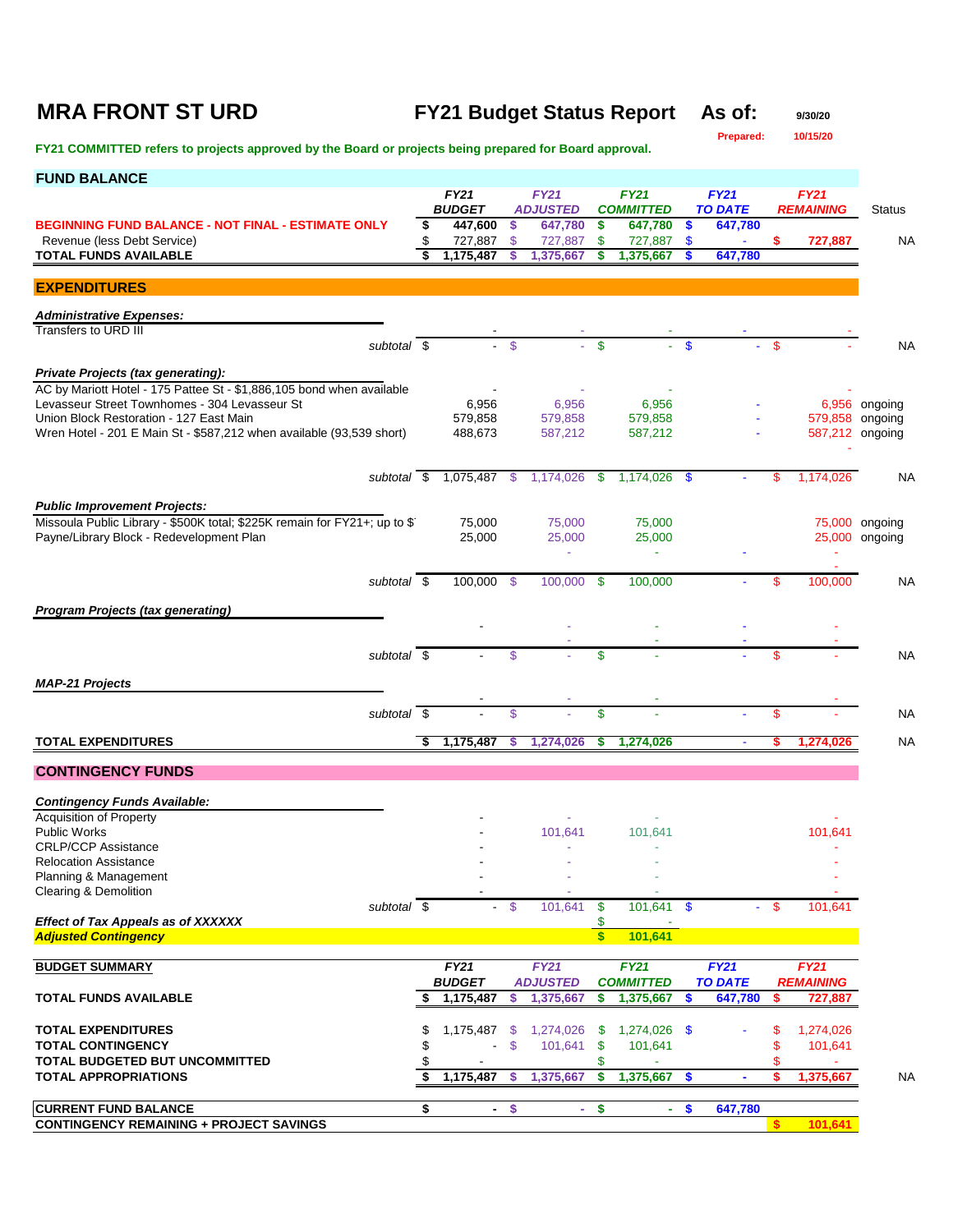# **MRA FRONT ST URD FY21 Budget Status Report As of:** 9/30/20<br>Prepared: 10/15/20

**Prepared:** 

| <b>FUND BALANCE</b>                                                                                                |    |                              |        |                            |                           |                             |               |                           |          |                  |                 |
|--------------------------------------------------------------------------------------------------------------------|----|------------------------------|--------|----------------------------|---------------------------|-----------------------------|---------------|---------------------------|----------|------------------|-----------------|
|                                                                                                                    |    | <b>FY21</b><br><b>BUDGET</b> |        | <b>FY21</b>                |                           | <b>FY21</b>                 |               | <b>FY21</b>               |          | <b>FY21</b>      |                 |
| <b>BEGINNING FUND BALANCE - NOT FINAL - ESTIMATE ONLY</b>                                                          | \$ | 447,600                      | \$     | <b>ADJUSTED</b><br>647,780 | \$                        | <b>COMMITTED</b><br>647,780 | - \$          | <b>TO DATE</b><br>647,780 |          | <b>REMAINING</b> | Status          |
| Revenue (less Debt Service)                                                                                        |    | 727,887                      | \$.    | 727,887                    | \$                        | 727,887                     | - \$          |                           |          | 727,887          | NA              |
| <b>TOTAL FUNDS AVAILABLE</b>                                                                                       |    | 1,175,487                    | S      | 1,375,667                  | s                         | 1,375,667                   | -S            | 647,780                   |          |                  |                 |
| <b>EXPENDITURES</b>                                                                                                |    |                              |        |                            |                           |                             |               |                           |          |                  |                 |
|                                                                                                                    |    |                              |        |                            |                           |                             |               |                           |          |                  |                 |
| <b>Administrative Expenses:</b><br>Transfers to URD III                                                            |    |                              |        |                            |                           |                             |               |                           |          |                  |                 |
| subtotal \$                                                                                                        |    |                              | - \$   |                            | $-$ \$                    |                             | <b>S</b>      |                           | - \$     |                  | <b>NA</b>       |
|                                                                                                                    |    |                              |        |                            |                           |                             |               |                           |          |                  |                 |
| <b>Private Projects (tax generating):</b><br>AC by Mariott Hotel - 175 Pattee St - \$1,886,105 bond when available |    |                              |        |                            |                           |                             |               |                           |          |                  |                 |
| Levasseur Street Townhomes - 304 Levasseur St                                                                      |    | 6,956                        |        | 6,956                      |                           | 6,956                       |               |                           |          |                  | 6,956 ongoing   |
| Union Block Restoration - 127 East Main                                                                            |    | 579,858                      |        | 579,858                    |                           | 579,858                     |               |                           |          |                  | 579,858 ongoing |
| Wren Hotel - 201 E Main St - \$587,212 when available (93,539 short)                                               |    | 488,673                      |        | 587,212                    |                           | 587,212                     |               |                           |          |                  | 587,212 ongoing |
|                                                                                                                    |    |                              |        |                            |                           |                             |               |                           |          |                  |                 |
| subtotal \$                                                                                                        |    | 1,075,487 \$                 |        | 1,174,026                  | -\$                       | 1,174,026 \$                |               |                           | S        | 1,174,026        | NA              |
| <b>Public Improvement Projects:</b>                                                                                |    |                              |        |                            |                           |                             |               |                           |          |                  |                 |
| Missoula Public Library - \$500K total; \$225K remain for FY21+; up to \$1                                         |    | 75,000                       |        | 75,000                     |                           | 75,000                      |               |                           |          |                  | 75,000 ongoing  |
| Payne/Library Block - Redevelopment Plan                                                                           |    | 25,000                       |        | 25,000                     |                           | 25,000                      |               |                           |          |                  | 25,000 ongoing  |
|                                                                                                                    |    |                              |        |                            |                           |                             |               |                           |          |                  |                 |
| subtotal \$                                                                                                        |    | 100,000 \$                   |        | 100,000                    | \$                        | 100,000                     |               |                           | \$       | 100,000          | NA              |
|                                                                                                                    |    |                              |        |                            |                           |                             |               |                           |          |                  |                 |
| <b>Program Projects (tax generating)</b>                                                                           |    |                              |        |                            |                           |                             |               |                           |          |                  |                 |
|                                                                                                                    |    |                              |        |                            |                           |                             |               |                           |          |                  |                 |
| subtotal $\overline{\$}$                                                                                           |    |                              | \$     |                            | \$                        |                             |               |                           | \$       |                  | <b>NA</b>       |
| <b>MAP-21 Projects</b>                                                                                             |    |                              |        |                            |                           |                             |               |                           |          |                  |                 |
|                                                                                                                    |    |                              |        |                            |                           |                             |               |                           |          |                  |                 |
| subtotal \$                                                                                                        |    |                              | \$     |                            | \$                        |                             |               |                           | \$       |                  | <b>NA</b>       |
| <b>TOTAL EXPENDITURES</b>                                                                                          | \$ | 1,175,487                    | S      | 1,274,026                  | s                         | 1,274,026                   |               | $\blacksquare$            | s        | 1,274,026        | <b>NA</b>       |
|                                                                                                                    |    |                              |        |                            |                           |                             |               |                           |          |                  |                 |
| <b>CONTINGENCY FUNDS</b>                                                                                           |    |                              |        |                            |                           |                             |               |                           |          |                  |                 |
| <b>Contingency Funds Available:</b>                                                                                |    |                              |        |                            |                           |                             |               |                           |          |                  |                 |
| <b>Acquisition of Property</b>                                                                                     |    |                              |        |                            |                           |                             |               |                           |          |                  |                 |
| <b>Public Works</b><br><b>CRLP/CCP Assistance</b>                                                                  |    |                              |        | 101,641                    |                           | 101,641                     |               |                           |          | 101,641          |                 |
| Relocation Assistance                                                                                              |    |                              |        |                            |                           |                             |               |                           |          |                  |                 |
| Planning & Management                                                                                              |    |                              |        |                            |                           |                             |               |                           |          |                  |                 |
| <b>Clearing &amp; Demolition</b><br>subtotal \$                                                                    |    |                              | $-$ \$ | 101,641                    | $\boldsymbol{\mathsf{s}}$ | 101,641 \$                  |               | $\blacksquare$            | - \$     | 101,641          |                 |
| <b>Effect of Tax Appeals as of XXXXXX</b>                                                                          |    |                              |        |                            | \$                        |                             |               |                           |          |                  |                 |
| <b>Adjusted Contingency</b>                                                                                        |    |                              |        |                            | $\overline{\mathbf{s}}$   | 101,641                     |               |                           |          |                  |                 |
| <b>BUDGET SUMMARY</b>                                                                                              |    | <b>FY21</b>                  |        | FY21                       |                           | FY21                        |               | FY21                      |          | <b>FY21</b>      |                 |
|                                                                                                                    |    | <b>BUDGET</b>                |        | <b>ADJUSTED</b>            |                           | <b>COMMITTED</b>            |               | <b>TO DATE</b>            |          | <b>REMAINING</b> |                 |
| <b>TOTAL FUNDS AVAILABLE</b>                                                                                       |    | 1,175,487                    | S      | 1,375,667                  | \$                        | 1,375,667                   | S,            | 647,780                   | \$       | 727,887          |                 |
|                                                                                                                    |    |                              |        |                            |                           |                             |               |                           |          |                  |                 |
| <b>TOTAL EXPENDITURES</b>                                                                                          | \$ | 1,175,487                    | \$     | 1,274,026                  | \$                        | 1,274,026 \$                |               |                           | S        | 1,274,026        |                 |
| <b>TOTAL CONTINGENCY</b><br>TOTAL BUDGETED BUT UNCOMMITTED                                                         |    |                              | \$     | 101,641                    | \$<br>\$                  | 101,641                     |               |                           | \$       | 101,641          |                 |
| <b>TOTAL APPROPRIATIONS</b>                                                                                        | S  | 1,175,487                    | \$.    | 1,375,667                  | <b>S</b>                  | 1,375,667                   | $\sqrt[6]{3}$ | ÷                         | s        | 1,375,667        | <b>NA</b>       |
|                                                                                                                    |    |                              |        |                            |                           |                             |               |                           |          |                  |                 |
| <b>CURRENT FUND BALANCE</b>                                                                                        | \$ | $\sim$                       | \$     | ÷.                         | $\frac{1}{2}$             |                             | - \$          | 647,780                   |          |                  |                 |
| <b>CONTINGENCY REMAINING + PROJECT SAVINGS</b>                                                                     |    |                              |        |                            |                           |                             |               |                           | <b>S</b> | 101,641          |                 |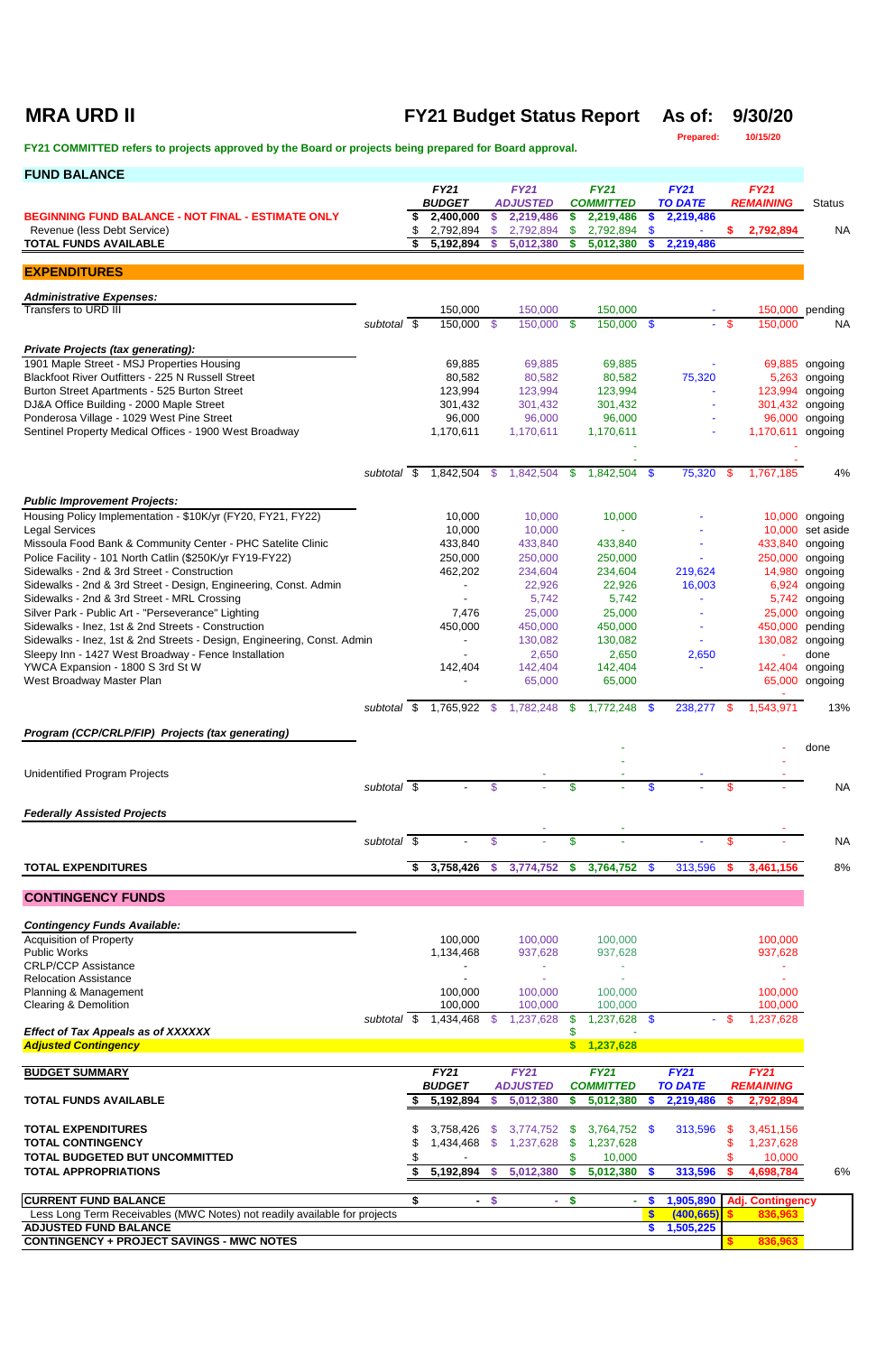### **MRA URD II FY21 Budget Status Report As of: 9/30/20**

**Prepared: 10/15/20**

| <b>FUND BALANCE</b>                                                                                      |             |    |                              |                |                                |                           |                                 |                          |                               |      |                                    |                    |
|----------------------------------------------------------------------------------------------------------|-------------|----|------------------------------|----------------|--------------------------------|---------------------------|---------------------------------|--------------------------|-------------------------------|------|------------------------------------|--------------------|
|                                                                                                          |             |    | <b>FY21</b><br><b>BUDGET</b> |                | <b>FY21</b><br><b>ADJUSTED</b> |                           | <b>FY21</b><br><b>COMMITTED</b> |                          | <b>FY21</b><br><b>TO DATE</b> |      | <b>FY21</b><br><b>REMAINING</b>    | <b>Status</b>      |
| <b>BEGINNING FUND BALANCE - NOT FINAL - ESTIMATE ONLY</b>                                                |             | \$ | 2,400,000                    | \$             | 2,219,486                      |                           | 2,219,486                       |                          | 2,219,486                     |      |                                    |                    |
| Revenue (less Debt Service)                                                                              |             | \$ | 2,792,894                    | \$             | 2,792,894                      | S                         | 2,792,894                       | \$                       |                               | S.   | 2,792,894                          | <b>NA</b>          |
| <b>TOTAL FUNDS AVAILABLE</b>                                                                             |             | Ŝ. | 5,192,894                    | S              | 5,012,380                      |                           | 5,012,380                       |                          | 2,219,486                     |      |                                    |                    |
| <b>EXPENDITURES</b>                                                                                      |             |    |                              |                |                                |                           |                                 |                          |                               |      |                                    |                    |
| <b>Administrative Expenses:</b>                                                                          |             |    |                              |                |                                |                           |                                 |                          |                               |      |                                    |                    |
| Transfers to URD III                                                                                     |             |    | 150,000                      |                | 150,000                        |                           | 150,000                         |                          |                               |      |                                    | 150,000 pending    |
|                                                                                                          | subtotal \$ |    | 150,000 \$                   |                | 150,000 \$                     |                           | 150,000 \$                      |                          |                               | - \$ | 150,000                            | <b>NA</b>          |
| <b>Private Projects (tax generating):</b>                                                                |             |    |                              |                |                                |                           |                                 |                          |                               |      |                                    |                    |
| 1901 Maple Street - MSJ Properties Housing                                                               |             |    | 69,885                       |                | 69,885                         |                           | 69,885                          |                          |                               |      |                                    | 69,885 ongoing     |
| Blackfoot River Outfitters - 225 N Russell Street<br>Burton Street Apartments - 525 Burton Street        |             |    | 80,582<br>123,994            |                | 80,582<br>123,994              |                           | 80,582<br>123,994               |                          | 75,320                        |      | 5,263<br>123,994                   | ongoing<br>ongoing |
| DJ&A Office Building - 2000 Maple Street                                                                 |             |    | 301,432                      |                | 301,432                        |                           | 301,432                         |                          |                               |      | 301,432                            | ongoing            |
| Ponderosa Village - 1029 West Pine Street                                                                |             |    | 96,000                       |                | 96,000                         |                           | 96,000                          |                          |                               |      | 96,000                             | ongoing            |
| Sentinel Property Medical Offices - 1900 West Broadway                                                   |             |    | 1,170,611                    |                | 1,170,611                      |                           | 1,170,611                       |                          |                               |      | 1,170,611 ongoing                  |                    |
|                                                                                                          |             |    |                              |                |                                |                           |                                 |                          |                               |      |                                    |                    |
|                                                                                                          | subtotal \$ |    | 1,842,504                    | -\$            | 1,842,504                      | S.                        | 1,842,504 \$                    |                          | 75,320                        | \$   | 1,767,185                          | 4%                 |
| <b>Public Improvement Projects:</b>                                                                      |             |    |                              |                |                                |                           |                                 |                          |                               |      |                                    |                    |
| Housing Policy Implementation - \$10K/yr (FY20, FY21, FY22)                                              |             |    | 10,000                       |                | 10,000                         |                           | 10,000                          |                          |                               |      |                                    | 10,000 ongoing     |
| <b>Legal Services</b>                                                                                    |             |    | 10,000                       |                | 10,000                         |                           |                                 |                          |                               |      |                                    | 10,000 set aside   |
| Missoula Food Bank & Community Center - PHC Satelite Clinic                                              |             |    | 433,840                      |                | 433,840                        |                           | 433,840                         |                          |                               |      | 433,840                            | ongoing            |
| Police Facility - 101 North Catlin (\$250K/yr FY19-FY22)<br>Sidewalks - 2nd & 3rd Street - Construction  |             |    | 250,000<br>462,202           |                | 250,000<br>234,604             |                           | 250,000<br>234,604              |                          | 219,624                       |      | 250,000<br>14,980                  | ongoing<br>ongoing |
| Sidewalks - 2nd & 3rd Street - Design, Engineering, Const. Admin                                         |             |    |                              |                | 22,926                         |                           | 22,926                          |                          | 16,003                        |      | 6,924                              | ongoing            |
| Sidewalks - 2nd & 3rd Street - MRL Crossing                                                              |             |    |                              |                | 5,742                          |                           | 5,742                           |                          |                               |      | 5,742                              | ongoing            |
| Silver Park - Public Art - "Perseverance" Lighting<br>Sidewalks - Inez, 1st & 2nd Streets - Construction |             |    | 7,476                        |                | 25,000                         |                           | 25,000                          |                          |                               |      | 25,000<br>450,000                  | ongoing            |
| Sidewalks - Inez, 1st & 2nd Streets - Design, Engineering, Const. Admin                                  |             |    | 450,000                      |                | 450,000<br>130,082             |                           | 450,000<br>130,082              |                          |                               |      | 130,082                            | pending<br>ongoing |
| Sleepy Inn - 1427 West Broadway - Fence Installation                                                     |             |    |                              |                | 2,650                          |                           | 2,650                           |                          | 2,650                         |      |                                    | done               |
| YWCA Expansion - 1800 S 3rd St W<br>West Broadway Master Plan                                            |             |    | 142,404                      |                | 142,404<br>65,000              |                           | 142,404<br>65,000               |                          |                               |      | 142,404 ongoing                    | 65,000 ongoing     |
|                                                                                                          | subtotal \$ |    | 1,765,922 \$                 |                | 1,782,248 \$                   |                           | $1,772,248$ \$                  |                          | 238,277                       | S.   | 1,543,971                          | 13%                |
| Program (CCP/CRLP/FIP) Projects (tax generating)                                                         |             |    |                              |                |                                |                           |                                 |                          |                               |      |                                    |                    |
|                                                                                                          |             |    |                              |                |                                |                           |                                 |                          |                               |      |                                    | done               |
| <b>Unidentified Program Projects</b>                                                                     |             |    |                              |                |                                |                           |                                 |                          |                               |      |                                    |                    |
|                                                                                                          | subtotal \$ |    |                              | $\mathfrak{s}$ |                                | \$                        |                                 | \$.                      |                               | \$   |                                    | <b>NA</b>          |
| <b>Federally Assisted Projects</b>                                                                       |             |    |                              |                |                                |                           |                                 |                          |                               |      |                                    |                    |
|                                                                                                          |             |    |                              |                |                                |                           |                                 |                          |                               |      |                                    |                    |
|                                                                                                          | subtotal \$ |    |                              | \$.            |                                | \$                        |                                 |                          |                               | \$   |                                    | <b>NA</b>          |
| <b>TOTAL EXPENDITURES</b>                                                                                |             | \$ | 3,758,426                    | $\mathbf{\$}$  | 3,774,752 \$                   |                           | 3,764,752                       | <b>\$</b>                | 313,596                       |      | 3,461,156                          | 8%                 |
| <b>CONTINGENCY FUNDS</b>                                                                                 |             |    |                              |                |                                |                           |                                 |                          |                               |      |                                    |                    |
|                                                                                                          |             |    |                              |                |                                |                           |                                 |                          |                               |      |                                    |                    |
| <b>Contingency Funds Available:</b>                                                                      |             |    |                              |                |                                |                           |                                 |                          |                               |      |                                    |                    |
| <b>Acquisition of Property</b><br><b>Public Works</b>                                                    |             |    | 100,000<br>1,134,468         |                | 100,000<br>937,628             |                           | 100,000<br>937,628              |                          |                               |      | 100,000<br>937,628                 |                    |
| <b>CRLP/CCP Assistance</b>                                                                               |             |    |                              |                |                                |                           |                                 |                          |                               |      |                                    |                    |
| <b>Relocation Assistance</b>                                                                             |             |    |                              |                |                                |                           |                                 |                          |                               |      |                                    |                    |
| Planning & Management<br><b>Clearing &amp; Demolition</b>                                                |             |    | 100,000<br>100,000           |                | 100,000<br>100,000             |                           | 100,000<br>100,000              |                          |                               |      | 100,000<br>100,000                 |                    |
|                                                                                                          | subtotal \$ |    | 1,434,468                    | - \$           | 1,237,628                      |                           | 1,237,628                       | - \$                     |                               | \$.  | ,237,628                           |                    |
| <b>Effect of Tax Appeals as of XXXXXX</b><br><b>Adjusted Contingency</b>                                 |             |    |                              |                |                                | $\boldsymbol{\mathsf{s}}$ | 1,237,628                       |                          |                               |      |                                    |                    |
|                                                                                                          |             |    |                              |                |                                |                           |                                 |                          |                               |      |                                    |                    |
| <b>BUDGET SUMMARY</b>                                                                                    |             |    | <b>FY21</b><br><b>BUDGET</b> |                | <b>FY21</b><br><b>ADJUSTED</b> |                           | <b>FY21</b><br><b>COMMITTED</b> |                          | <b>FY21</b><br><b>TO DATE</b> |      | <b>FY21</b><br><b>REMAINING</b>    |                    |
| <b>TOTAL FUNDS AVAILABLE</b>                                                                             |             |    | 5,192,894                    | S              | 5,012,380                      |                           | 5,012,380                       |                          | 2,219,486                     | S    | 2,792,894                          |                    |
|                                                                                                          |             |    |                              |                |                                |                           |                                 |                          |                               |      |                                    |                    |
| <b>TOTAL EXPENDITURES</b>                                                                                |             |    | 3,758,426                    | - \$           | 3,774,752                      | - \$                      | 3,764,752 \$                    |                          | 313,596                       | -S   | 3,451,156                          |                    |
| <b>TOTAL CONTINGENCY</b><br>TOTAL BUDGETED BUT UNCOMMITTED                                               |             | \$ | 1,434,468                    | \$             | 1,237,628                      | \$<br>\$                  | 1,237,628<br>10,000             |                          |                               | S    | 1,237,628<br>10,000                |                    |
| <b>TOTAL APPROPRIATIONS</b>                                                                              |             | \$ |                              |                | 5,192,894 \$ 5,012,380 \$      |                           | $5,012,380$ \$                  |                          | 313,596                       |      | 4,698,784                          | 6%                 |
|                                                                                                          |             |    |                              |                |                                |                           |                                 |                          |                               |      |                                    |                    |
| <b>CURRENT FUND BALANCE</b><br>Less Long Term Receivables (MWC Notes) not readily available for projects |             | \$ |                              | $-$ \$         |                                | $-$ \$                    |                                 | - \$<br>$\boldsymbol{s}$ | 1,905,890<br>(400, 665)       |      | <b>Adj. Contingency</b><br>836,963 |                    |
| <b>ADJUSTED FUND BALANCE</b>                                                                             |             |    |                              |                |                                |                           |                                 | $\bullet$                | 1,505,225                     |      |                                    |                    |
| <b>CONTINGENCY + PROJECT SAVINGS - MWC NOTES</b>                                                         |             |    |                              |                |                                |                           |                                 |                          |                               |      | 836,963                            |                    |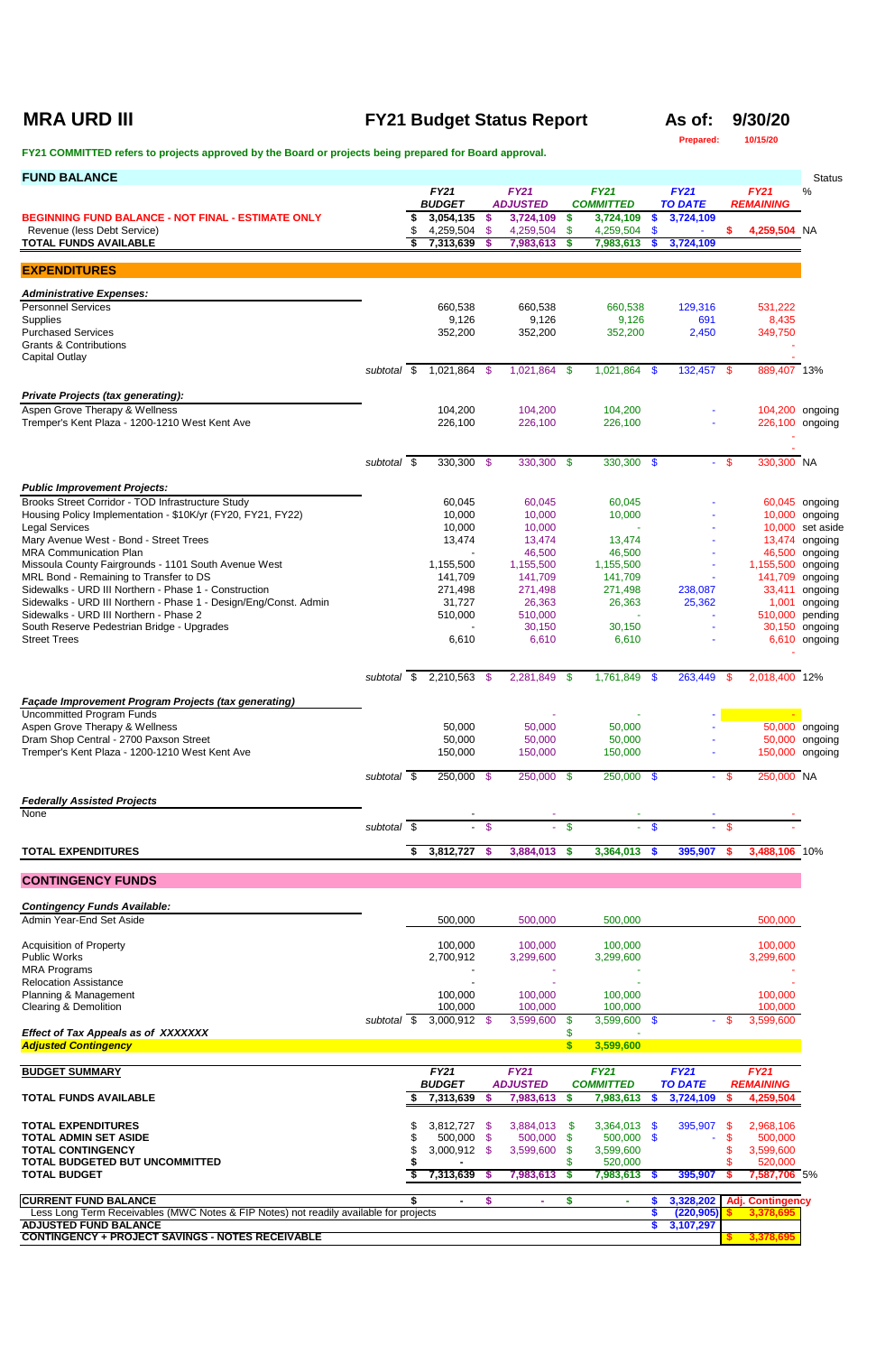## **MRA URD III FY21 Budget Status Report As of: 9/30/20**

**Prepared: 10/15/20**

| <b>FUND BALANCE</b>                                                                                                       |                          |                              |          |                                |                         |                                 |                 |                               |               |                                      | <b>Status</b>                   |
|---------------------------------------------------------------------------------------------------------------------------|--------------------------|------------------------------|----------|--------------------------------|-------------------------|---------------------------------|-----------------|-------------------------------|---------------|--------------------------------------|---------------------------------|
|                                                                                                                           |                          | <b>FY21</b><br><b>BUDGET</b> |          | <b>FY21</b><br><b>ADJUSTED</b> |                         | <b>FY21</b><br><b>COMMITTED</b> |                 | <b>FY21</b><br><b>TO DATE</b> |               | <b>FY21</b><br><b>REMAINING</b>      | %                               |
| <b>BEGINNING FUND BALANCE - NOT FINAL - ESTIMATE ONLY</b><br>Revenue (less Debt Service)                                  |                          | 3,054,135<br>4,259,504 \$    | -\$      | 3,724,109<br>4,259,504         | \$<br>\$                | 3,724,109<br>4,259,504          | <b>S</b><br>-\$ | 3,724,109                     | \$.           | 4,259,504 NA                         |                                 |
| <b>TOTAL FUNDS AVAILABLE</b>                                                                                              |                          | 7,313,639                    | - \$     | 7,983,613                      | S.                      | 7,983,613                       | <b>S</b>        | 3,724,109                     |               |                                      |                                 |
| <b>EXPENDITURES</b>                                                                                                       |                          |                              |          |                                |                         |                                 |                 |                               |               |                                      |                                 |
| <b>Administrative Expenses:</b>                                                                                           |                          |                              |          |                                |                         |                                 |                 |                               |               |                                      |                                 |
| <b>Personnel Services</b>                                                                                                 |                          | 660,538<br>9,126             |          | 660,538<br>9,126               |                         | 660,538<br>9,126                |                 | 129,316<br>691                |               | 531,222<br>8,435                     |                                 |
| Supplies<br><b>Purchased Services</b>                                                                                     |                          | 352,200                      |          | 352,200                        |                         | 352,200                         |                 | 2,450                         |               | 349,750                              |                                 |
| <b>Grants &amp; Contributions</b><br><b>Capital Outlay</b>                                                                |                          |                              |          |                                |                         |                                 |                 |                               |               |                                      |                                 |
|                                                                                                                           | subtotal \$              | 1,021,864 \$                 |          | 1,021,864 \$                   |                         | 1,021,864 \$                    |                 | 132,457 \$                    |               | 889,407 13%                          |                                 |
| <b>Private Projects (tax generating):</b>                                                                                 |                          |                              |          |                                |                         |                                 |                 |                               |               |                                      |                                 |
| Aspen Grove Therapy & Wellness<br>Tremper's Kent Plaza - 1200-1210 West Kent Ave                                          |                          | 104,200<br>226,100           |          | 104,200<br>226,100             |                         | 104,200<br>226,100              |                 |                               |               | 104,200 ongoing<br>226,100 ongoing   |                                 |
|                                                                                                                           |                          |                              |          |                                |                         |                                 |                 |                               |               |                                      |                                 |
|                                                                                                                           | subtotal $\overline{\$}$ | $330,300$ \$                 |          | $330,300$ \$                   |                         | $330,300$ \$                    |                 | e i                           | $\sqrt[6]{3}$ | 330,300 NA                           |                                 |
|                                                                                                                           |                          |                              |          |                                |                         |                                 |                 |                               |               |                                      |                                 |
| <b>Public Improvement Projects:</b><br>Brooks Street Corridor - TOD Infrastructure Study                                  |                          | 60,045                       |          | 60,045                         |                         | 60,045                          |                 |                               |               |                                      | 60,045 ongoing                  |
| Housing Policy Implementation - \$10K/yr (FY20, FY21, FY22)<br><b>Legal Services</b>                                      |                          | 10,000<br>10,000             |          | 10,000<br>10,000               |                         | 10,000                          |                 |                               |               | 10,000<br>10,000                     | ongoing<br>set aside            |
| Mary Avenue West - Bond - Street Trees                                                                                    |                          | 13,474                       |          | 13,474                         |                         | 13,474                          |                 |                               |               |                                      | 13,474 ongoing                  |
| <b>MRA Communication Plan</b><br>Missoula County Fairgrounds - 1101 South Avenue West                                     |                          | $\sim$<br>1,155,500          |          | 46,500<br>1,155,500            |                         | 46,500<br>1,155,500             |                 |                               |               | 1,155,500 ongoing                    | 46,500 ongoing                  |
| MRL Bond - Remaining to Transfer to DS                                                                                    |                          | 141,709                      |          | 141,709                        |                         | 141,709                         |                 |                               |               | 141,709 ongoing                      |                                 |
| Sidewalks - URD III Northern - Phase 1 - Construction<br>Sidewalks - URD III Northern - Phase 1 - Design/Eng/Const. Admin |                          | 271,498<br>31,727            |          | 271,498<br>26,363              |                         | 271,498<br>26,363               |                 | 238,087<br>25,362             |               | 33,411<br>1,001                      | ongoing<br>ongoing              |
| Sidewalks - URD III Northern - Phase 2                                                                                    |                          | 510,000                      |          | 510,000                        |                         | $\sim$                          |                 |                               |               | 510,000                              | pending                         |
| South Reserve Pedestrian Bridge - Upgrades<br><b>Street Trees</b>                                                         |                          | 6,610                        |          | 30,150<br>6,610                |                         | 30,150<br>6,610                 |                 |                               |               |                                      | 30,150 ongoing<br>6,610 ongoing |
|                                                                                                                           |                          |                              |          |                                |                         |                                 |                 |                               |               |                                      |                                 |
|                                                                                                                           | subtotal \$              | 2,210,563 \$                 |          | 2,281,849                      | \$                      | 1,761,849 \$                    |                 | 263,449                       | \$            | 2,018,400 12%                        |                                 |
| Façade Improvement Program Projects (tax generating)                                                                      |                          |                              |          |                                |                         |                                 |                 |                               |               |                                      |                                 |
| <b>Uncommitted Program Funds</b><br>Aspen Grove Therapy & Wellness                                                        |                          | 50,000                       |          | 50,000                         |                         | 50,000                          |                 |                               |               |                                      | 50,000 ongoing                  |
| Dram Shop Central - 2700 Paxson Street                                                                                    |                          | 50,000                       |          | 50,000                         |                         | 50,000                          |                 |                               |               |                                      | 50,000 ongoing                  |
| Tremper's Kent Plaza - 1200-1210 West Kent Ave                                                                            |                          | 150,000                      |          | 150,000                        |                         | 150,000                         |                 |                               |               | 150,000 ongoing                      |                                 |
|                                                                                                                           | subtotal \$              | 250,000 \$                   |          | 250,000 \$                     |                         | 250,000 \$                      |                 |                               | $-$ \$        | 250,000 NA                           |                                 |
| <b>Federally Assisted Projects</b><br>None                                                                                |                          |                              |          |                                |                         |                                 |                 |                               |               |                                      |                                 |
|                                                                                                                           | subtotal \$              | $\blacksquare$               | -\$      |                                | $\overline{\mathbf{s}}$ |                                 | $\mathbf{\$}$   |                               | \$            |                                      |                                 |
| <b>TOTAL EXPENDITURES</b>                                                                                                 |                          | 3,812,727                    | - \$     | 3,884,013                      | $\frac{2}{3}$           | 3,364,013                       | <b>S</b>        | 395,907                       | \$            | 3,488,106 10%                        |                                 |
| <b>CONTINGENCY FUNDS</b>                                                                                                  |                          |                              |          |                                |                         |                                 |                 |                               |               |                                      |                                 |
|                                                                                                                           |                          |                              |          |                                |                         |                                 |                 |                               |               |                                      |                                 |
| <b>Contingency Funds Available:</b><br>Admin Year-End Set Aside                                                           |                          | 500,000                      |          | 500,000                        |                         | 500,000                         |                 |                               |               | 500,000                              |                                 |
| <b>Acquisition of Property</b>                                                                                            |                          | 100,000                      |          | 100,000                        |                         | 100,000                         |                 |                               |               | 100,000                              |                                 |
| <b>Public Works</b>                                                                                                       |                          | 2,700,912                    |          | 3,299,600                      |                         | 3,299,600                       |                 |                               |               | 3,299,600                            |                                 |
| <b>MRA Programs</b><br><b>Relocation Assistance</b>                                                                       |                          |                              |          |                                |                         |                                 |                 |                               |               |                                      |                                 |
| Planning & Management<br><b>Clearing &amp; Demolition</b>                                                                 |                          | 100,000<br>100,000           |          | 100,000<br>100,000             |                         | 100,000<br>100,000              |                 |                               |               | 100,000<br>100,000                   |                                 |
|                                                                                                                           | subtotal $\overline{\$}$ | 3,000,912 \$                 |          | 3,599,600                      | \$.                     | 3,599,600 \$                    |                 |                               |               | 3,599,600                            |                                 |
| <b>Effect of Tax Appeals as of XXXXXXX</b><br><b>Adjusted Contingency</b>                                                 |                          |                              |          |                                | \$<br>\$                | 3,599,600                       |                 |                               |               |                                      |                                 |
| <b>BUDGET SUMMARY</b>                                                                                                     |                          | <b>FY21</b>                  |          | <b>FY21</b>                    |                         | <b>FY21</b>                     |                 | <b>FY21</b>                   |               | <b>FY21</b>                          |                                 |
|                                                                                                                           |                          | <b>BUDGET</b>                |          | <b>ADJUSTED</b>                |                         | <b>COMMITTED</b>                |                 | <b>TO DATE</b>                |               | <b>REMAINING</b>                     |                                 |
| <b>TOTAL FUNDS AVAILABLE</b>                                                                                              |                          | 7,313,639                    | <b>S</b> | 7,983,613                      | \$                      | 7,983,613                       | S               | 3,724,109                     | S             | 4,259,504                            |                                 |
| <b>TOTAL EXPENDITURES</b>                                                                                                 |                          | 3,812,727                    | - \$     | 3,884,013                      | \$                      | 3,364,013                       | - \$            | 395,907                       | \$            | 2,968,106                            |                                 |
| <b>TOTAL ADMIN SET ASIDE</b><br><b>TOTAL CONTINGENCY</b>                                                                  |                          | 500,000 \$<br>3,000,912      | \$       | 500,000<br>3,599,600           | \$<br>\$                | 500,000 \$<br>3,599,600         |                 |                               | \$            | 500,000<br>3,599,600                 |                                 |
| TOTAL BUDGETED BUT UNCOMMITTED<br><b>TOTAL BUDGET</b>                                                                     |                          | 7,313,639 \$                 |          | 7,983,613                      | S.                      | 520,000<br>7,983,613 \$         |                 | 395,907                       |               | 520,000<br>7,587,706 5%              |                                 |
|                                                                                                                           |                          |                              |          |                                |                         |                                 |                 |                               |               |                                      |                                 |
| <b>CURRENT FUND BALANCE</b><br>Less Long Term Receivables (MWC Notes & FIP Notes) not readily available for projects      |                          | $\blacksquare$               | S        | ٠                              | \$                      | ×.                              |                 | 3,328,202<br>(220, 905)       |               | <b>Adj. Contingency</b><br>3,378,695 |                                 |
| <b>ADJUSTED FUND BALANCE</b><br><b>CONTINGENCY + PROJECT SAVINGS - NOTES RECEIVABLE</b>                                   |                          |                              |          |                                |                         |                                 |                 | 3,107,297                     |               | 3,378,695                            |                                 |
|                                                                                                                           |                          |                              |          |                                |                         |                                 |                 |                               |               |                                      |                                 |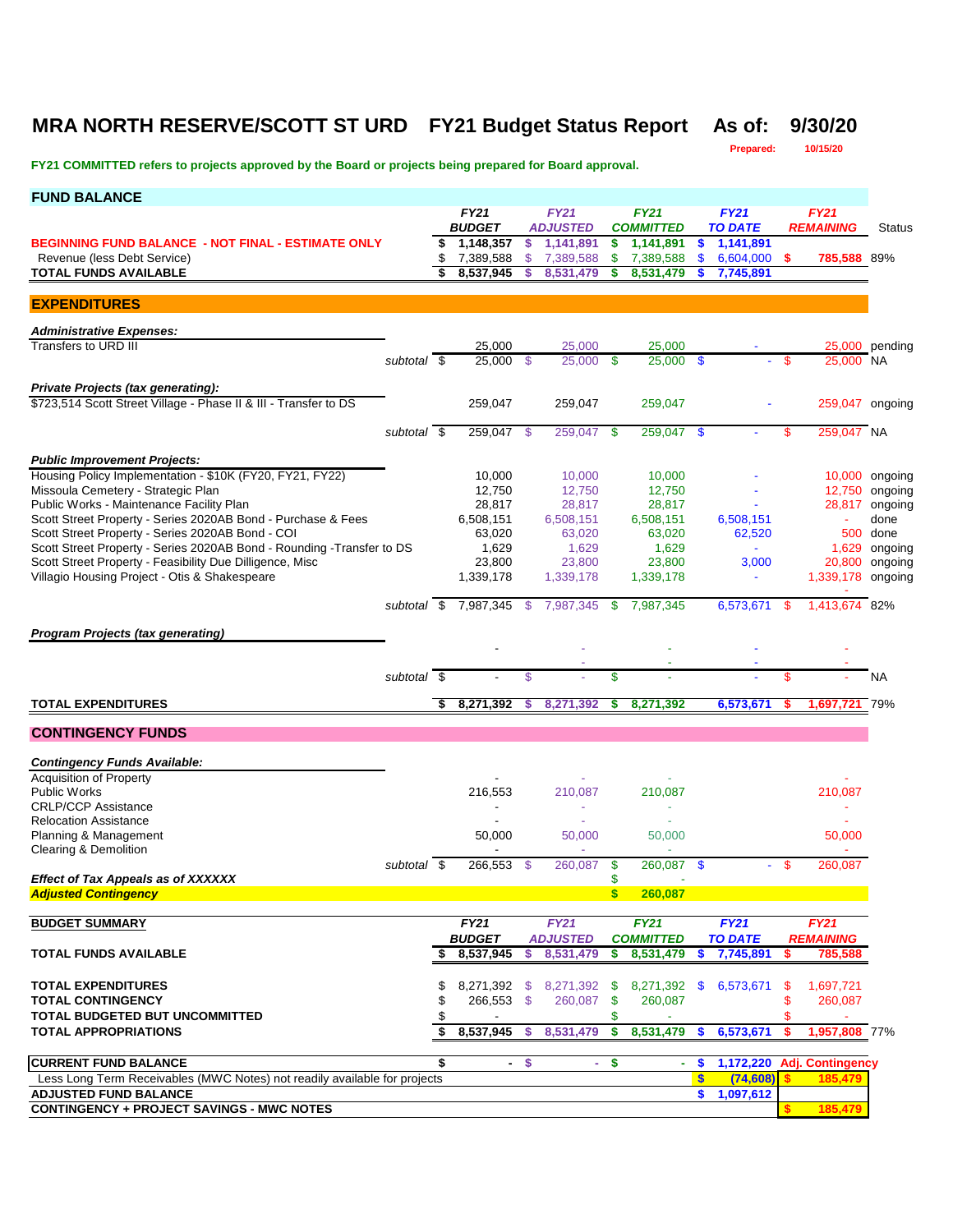### **MRA NORTH RESERVE/SCOTT ST URD FY21 Budget Status Report As of: 9/30/20**

**Prepared: 10/15/20**

| <b>FUND BALANCE</b>                                                                                       |                          |    |                              |                           |                                     |                           |                                 |                           |                               |               |                                 |                |
|-----------------------------------------------------------------------------------------------------------|--------------------------|----|------------------------------|---------------------------|-------------------------------------|---------------------------|---------------------------------|---------------------------|-------------------------------|---------------|---------------------------------|----------------|
|                                                                                                           |                          |    | <b>FY21</b><br><b>BUDGET</b> |                           | <b>FY21</b><br><b>ADJUSTED</b>      |                           | <b>FY21</b><br><b>COMMITTED</b> |                           | <b>FY21</b><br><b>TO DATE</b> |               | <b>FY21</b><br><b>REMAINING</b> | Status         |
| <b>BEGINNING FUND BALANCE - NOT FINAL - ESTIMATE ONLY</b>                                                 |                          | s. | 1,148,357                    | s.                        | 1,141,891                           | \$                        | 1,141,891                       | $\boldsymbol{\mathsf{s}}$ | 1,141,891                     |               |                                 |                |
| Revenue (less Debt Service)                                                                               |                          | \$ | 7,389,588                    | <sup>\$</sup>             | 7,389,588                           | \$                        | 7,389,588                       | \$                        | 6,604,000                     | - \$          | 785,588 89%                     |                |
| <b>TOTAL FUNDS AVAILABLE</b>                                                                              |                          | \$ | 8,537,945                    |                           | 8,531,479                           | \$                        | 8,531,479                       |                           | 7,745,891                     |               |                                 |                |
| <b>EXPENDITURES</b>                                                                                       |                          |    |                              |                           |                                     |                           |                                 |                           |                               |               |                                 |                |
|                                                                                                           |                          |    |                              |                           |                                     |                           |                                 |                           |                               |               |                                 |                |
| <b>Administrative Expenses:</b>                                                                           |                          |    |                              |                           |                                     |                           |                                 |                           |                               |               |                                 |                |
| Transfers to URD III                                                                                      |                          |    | 25,000                       |                           | 25,000                              |                           | 25,000                          |                           |                               |               |                                 | 25,000 pending |
|                                                                                                           | subtotal \$              |    | 25,000                       | -\$                       | $25,000$ \$                         |                           | 25,000                          | $\mathbf{s}$              |                               | \$            | 25,000 NA                       |                |
| <b>Private Projects (tax generating):</b>                                                                 |                          |    |                              |                           |                                     |                           |                                 |                           |                               |               |                                 |                |
| \$723,514 Scott Street Village - Phase II & III - Transfer to DS                                          |                          |    | 259,047                      |                           | 259,047                             |                           | 259,047                         |                           |                               |               | 259,047 ongoing                 |                |
|                                                                                                           |                          |    |                              |                           |                                     |                           |                                 |                           |                               |               |                                 |                |
|                                                                                                           | subtotal \$              |    | 259,047 \$                   |                           | 259,047 \$                          |                           | 259,047                         | - \$                      |                               | \$            | 259,047 NA                      |                |
| <b>Public Improvement Projects:</b>                                                                       |                          |    |                              |                           |                                     |                           |                                 |                           |                               |               |                                 |                |
| Housing Policy Implementation - \$10K (FY20, FY21, FY22)                                                  |                          |    | 10,000                       |                           | 10,000                              |                           | 10,000                          |                           |                               |               |                                 | 10,000 ongoing |
| Missoula Cemetery - Strategic Plan                                                                        |                          |    | 12,750                       |                           | 12,750                              |                           | 12,750                          |                           |                               |               |                                 | 12,750 ongoing |
| Public Works - Maintenance Facility Plan                                                                  |                          |    | 28,817                       |                           | 28,817                              |                           | 28,817                          |                           |                               |               | 28,817                          | ongoing        |
| Scott Street Property - Series 2020AB Bond - Purchase & Fees                                              |                          |    | 6,508,151                    |                           | 6,508,151                           |                           | 6,508,151                       |                           | 6,508,151                     |               | ä,                              | done           |
| Scott Street Property - Series 2020AB Bond - COI                                                          |                          |    | 63,020                       |                           | 63,020                              |                           | 63,020                          |                           | 62,520                        |               |                                 | 500 done       |
| Scott Street Property - Series 2020AB Bond - Rounding - Transfer to DS                                    |                          |    | 1,629                        |                           | 1,629                               |                           | 1,629                           |                           |                               |               | 1,629                           | ongoing        |
| Scott Street Property - Feasibility Due Dilligence, Misc<br>Villagio Housing Project - Otis & Shakespeare |                          |    | 23,800<br>1,339,178          |                           | 23,800<br>1,339,178                 |                           | 23,800<br>1,339,178             |                           | 3,000<br>$\blacksquare$       |               | 20,800<br>1,339,178 ongoing     | ongoing        |
|                                                                                                           |                          |    |                              |                           |                                     |                           |                                 |                           |                               |               |                                 |                |
|                                                                                                           |                          |    | subtotal \$ 7,987,345 \$     |                           | 7,987,345                           | -\$                       | 7,987,345                       |                           | 6,573,671 \$                  |               | 1,413,674 82%                   |                |
|                                                                                                           |                          |    |                              |                           |                                     |                           |                                 |                           |                               |               |                                 |                |
| <b>Program Projects (tax generating)</b>                                                                  |                          |    |                              |                           |                                     |                           |                                 |                           |                               |               |                                 |                |
|                                                                                                           |                          |    |                              |                           |                                     |                           |                                 |                           |                               |               |                                 |                |
|                                                                                                           | subtotal $\overline{\$}$ |    |                              | \$                        |                                     | \$                        |                                 |                           |                               | $\mathsf{\$}$ |                                 | <b>NA</b>      |
| <b>TOTAL EXPENDITURES</b>                                                                                 |                          |    | 8,271,392                    | S.                        | 8,271,392                           | S                         | 8,271,392                       |                           | 6,573,671                     | S             | 1,697,721 79%                   |                |
| <b>CONTINGENCY FUNDS</b>                                                                                  |                          |    |                              |                           |                                     |                           |                                 |                           |                               |               |                                 |                |
|                                                                                                           |                          |    |                              |                           |                                     |                           |                                 |                           |                               |               |                                 |                |
| <b>Contingency Funds Available:</b>                                                                       |                          |    |                              |                           |                                     |                           |                                 |                           |                               |               |                                 |                |
| <b>Acquisition of Property</b>                                                                            |                          |    |                              |                           |                                     |                           |                                 |                           |                               |               |                                 |                |
| <b>Public Works</b>                                                                                       |                          |    | 216,553                      |                           | 210.087                             |                           | 210,087                         |                           |                               |               | 210,087                         |                |
| <b>CRLP/CCP Assistance</b>                                                                                |                          |    |                              |                           | ÷,                                  |                           | ÷                               |                           |                               |               |                                 |                |
| <b>Relocation Assistance</b>                                                                              |                          |    |                              |                           |                                     |                           |                                 |                           |                               |               |                                 |                |
| Planning & Management<br>Clearing & Demolition                                                            |                          |    | 50,000                       |                           | 50,000                              |                           | 50,000                          |                           |                               |               | 50,000                          |                |
|                                                                                                           | subtotal \$              |    | 266,553                      | -\$                       | 260,087                             | \$                        | 260,087                         | \$                        |                               | - \$          | 260.087                         |                |
| <b>Effect of Tax Appeals as of XXXXXX</b>                                                                 |                          |    |                              |                           |                                     | \$                        |                                 |                           |                               |               |                                 |                |
| <b>Adjusted Contingency</b>                                                                               |                          |    |                              |                           |                                     | $\mathbf{s}$              | 260,087                         |                           |                               |               |                                 |                |
|                                                                                                           |                          |    |                              |                           |                                     |                           |                                 |                           |                               |               |                                 |                |
| <b>BUDGET SUMMARY</b>                                                                                     |                          |    | <b>FY21</b><br><b>BUDGET</b> |                           | <b>FY21</b>                         |                           | <b>FY21</b>                     |                           | FY21<br><b>TO DATE</b>        |               | FY21<br><b>REMAINING</b>        |                |
| <b>TOTAL FUNDS AVAILABLE</b>                                                                              |                          | \$ | 8,537,945                    | \$                        | <i><b>ADJUSTED</b></i><br>8,531,479 | \$                        | <b>COMMITTED</b><br>8,531,479   | \$                        | 7,745,891                     | s             | 785,588                         |                |
|                                                                                                           |                          |    |                              |                           |                                     |                           |                                 |                           |                               |               |                                 |                |
| <b>TOTAL EXPENDITURES</b>                                                                                 |                          | \$ | 8,271,392 \$                 |                           | 8,271,392                           | - \$                      | 8,271,392                       | SS.                       | 6,573,671                     | S.            | 1,697,721                       |                |
| <b>TOTAL CONTINGENCY</b>                                                                                  |                          | \$ | 266,553 \$                   |                           | 260,087 \$                          |                           | 260,087                         |                           |                               | \$            | 260,087                         |                |
| <b>TOTAL BUDGETED BUT UNCOMMITTED</b>                                                                     |                          |    |                              |                           |                                     | \$                        |                                 |                           |                               | \$            |                                 |                |
| <b>TOTAL APPROPRIATIONS</b>                                                                               |                          | \$ | 8,537,945                    | -S                        | 8,531,479                           | -S                        | 8,531,479                       | <b>S</b>                  | 6,573,671                     | \$            | 1,957,808 77%                   |                |
|                                                                                                           |                          |    |                              |                           |                                     |                           |                                 |                           |                               |               |                                 |                |
| <b>CURRENT FUND BALANCE</b>                                                                               |                          | \$ | $\blacksquare$               | $\boldsymbol{\mathsf{s}}$ | $\sim$                              | $\boldsymbol{\mathsf{s}}$ | ٠                               | $\boldsymbol{\mathsf{s}}$ | 1,172,220                     |               | <b>Adj. Contingency</b>         |                |
| Less Long Term Receivables (MWC Notes) not readily available for projects                                 |                          |    |                              |                           |                                     |                           |                                 | $\boldsymbol{s}$          | (74, 608)                     | S             | 185,479                         |                |
| <b>ADJUSTED FUND BALANCE</b>                                                                              |                          |    |                              |                           |                                     |                           |                                 | \$.                       | 1,097,612                     |               |                                 |                |
| <b>CONTINGENCY + PROJECT SAVINGS - MWC NOTES</b>                                                          |                          |    |                              |                           |                                     |                           |                                 |                           |                               | s.            | 185,479                         |                |